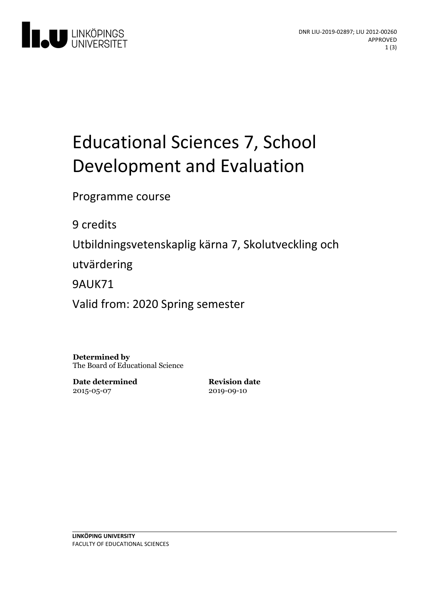

# Educational Sciences 7, School Development and Evaluation

Programme course

9 credits

Utbildningsvetenskaplig kärna 7, Skolutveckling och

utvärdering

9AUK71

Valid from: 2020 Spring semester

**Determined by** The Board of Educational Science

**Date determined** 2015-05-07

**Revision date** 2019-09-10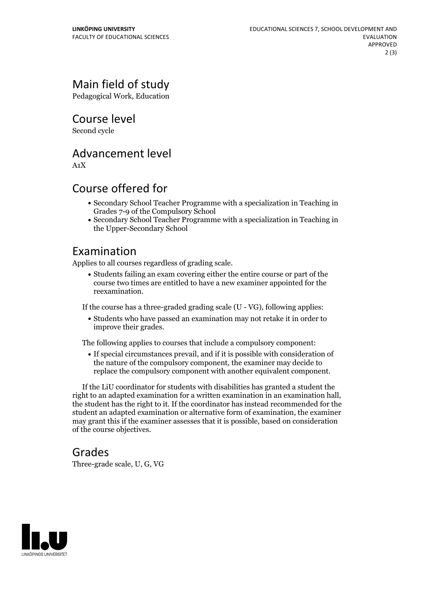## Main field of study

Pedagogical Work, Education

Course level

Second cycle

#### Advancement level

A1X

#### Course offered for

- Secondary School Teacher Programme with a specialization in Teaching in Grades 7-9 of the Compulsory School
- Secondary School Teacher Programme with a specialization in Teaching in the Upper-Secondary School

#### Examination

Applies to all courses regardless of grading scale.

Students failing an exam covering either the entire course or part of the course two times are entitled to have a new examiner appointed for the reexamination.

If the course has a three-graded grading scale (U - VG), following applies:

Students who have passed an examination may not retake it in order to improve their grades.

The following applies to courses that include a compulsory component:

If special circumstances prevail, and if it is possible with consideration of the nature of the compulsory component, the examiner may decide to replace the compulsory component with another equivalent component.

If the LiU coordinator for students with disabilities has granted a student the right to an adapted examination for <sup>a</sup> written examination in an examination hall, the student has the right to it. If the coordinator has instead recommended for the student an adapted examination or alternative form of examination, the examiner may grant this if the examiner assesses that it is possible, based on consideration of the course objectives.

#### Grades

Three-grade scale, U, G, VG